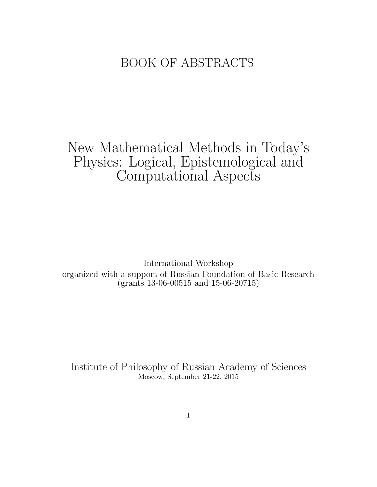## BOOK OF ABSTRACTS

# New Mathematical Methods in Today's Physics: Logical, Epistemological and Computational Aspects

International Workshop organized with a support of Russian Foundation of Basic Research (grants 13-06-00515 and 15-06-20715)

Institute of Philosophy of Russian Academy of Sciences Moscow, September 21-22, 2015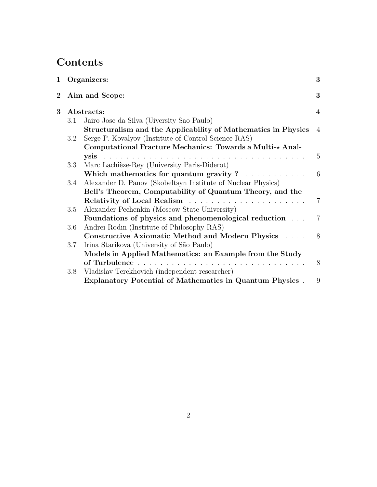## Contents

| 1        |         | Organizers:                                                     | 3              |
|----------|---------|-----------------------------------------------------------------|----------------|
| $\bf{2}$ |         | Aim and Scope:                                                  | 3              |
| 3        |         | Abstracts:                                                      | 4              |
|          | 3.1     | Jairo Jose da Silva (Uiversity Sao Paulo)                       |                |
|          |         | Structuralism and the Applicability of Mathematics in Physics   | $\overline{4}$ |
|          | $3.2\,$ | Serge P. Kovalyov (Institute of Control Science RAS)            |                |
|          |         | Computational Fracture Mechanics: Towards a Multi-* Anal-       |                |
|          |         |                                                                 | 5              |
|          | 3.3     | Marc Lachièze-Rey (University Paris-Diderot)                    |                |
|          |         | Which mathematics for quantum gravity $? \dots \dots \dots$     | - 6            |
|          | 3.4     | Alexander D. Panov (Skobeltsyn Institute of Nuclear Physics)    |                |
|          |         | Bell's Theorem, Computability of Quantum Theory, and the        |                |
|          |         |                                                                 | 7              |
|          | 3.5     | Alexander Pechenkin (Moscow State University)                   |                |
|          |         | Foundations of physics and phenomenological reduction           | 7              |
|          | 3.6     | Andrei Rodin (Institute of Philosophy RAS)                      |                |
|          |         | Constructive Axiomatic Method and Modern Physics                | 8              |
|          | 3.7     | Irina Starikova (University of São Paulo)                       |                |
|          |         | Models in Applied Mathematics: an Example from the Study        |                |
|          |         | of Turbulence                                                   | 8              |
|          | 3.8     | Vladislav Terekhovich (independent researcher)                  |                |
|          |         | <b>Explanatory Potential of Mathematics in Quantum Physics.</b> | 9              |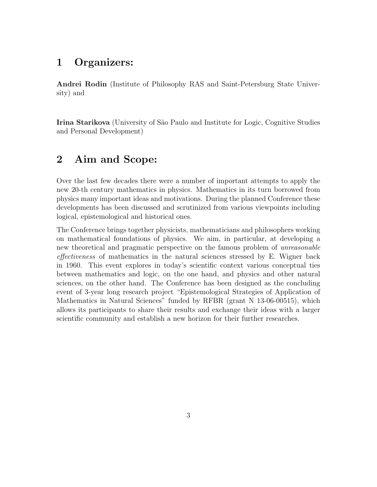#### 1 Organizers:

Andrei Rodin (Institute of Philosophy RAS and Saint-Petersburg State University) and

Irina Starikova (University of São Paulo and Institute for Logic, Cognitive Studies and Personal Development)

## 2 Aim and Scope:

Over the last few decades there were a number of important attempts to apply the new 20-th century mathematics in physics. Mathematics in its turn borrowed from physics many important ideas and motivations. During the planned Conference these developments has been discussed and scrutinized from various viewpoints including logical, epistemological and historical ones.

The Conference brings together physicists, mathematicians and philosophers working on mathematical foundations of physics. We aim, in particular, at developing a new theoretical and pragmatic perspective on the famous problem of unreasonable effectiveness of mathematics in the natural sciences stressed by E. Wigner back in 1960. This event explores in today's scientific context various conceptual ties between mathematics and logic, on the one hand, and physics and other natural sciences, on the other hand. The Conference has been designed as the concluding event of 3-year long research project "Epistemological Strategies of Application of Mathematics in Natural Sciences" funded by RFBR (grant N 13-06-00515), which allows its participants to share their results and exchange their ideas with a larger scientific community and establish a new horizon for their further researches.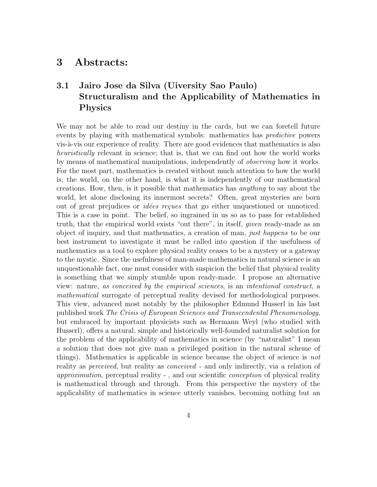#### 3 Abstracts:

### 3.1 Jairo Jose da Silva (Uiversity Sao Paulo) Structuralism and the Applicability of Mathematics in Physics

We may not be able to read our destiny in the cards, but we can foretell future events by playing with mathematical symbols: mathematics has predictive powers vis- $\alpha$ -vis our experience of reality. There are good evidences that mathematics is also heuristically relevant in science; that is, that we can find out how the world works by means of mathematical manipulations, independently of observing how it works. For the most part, mathematics is created without much attention to how the world is; the world, on the other hand, is what it is independently of our mathematical creations. How, then, is it possible that mathematics has anything to say about the world, let alone disclosing its innermost secrets? Often, great mysteries are born out of great prejudices or *idées reçues* that go either unquestioned or unnoticed. This is a case in point. The belief, so ingrained in us so as to pass for established truth, that the empirical world exists "out there", in itself, given ready-made as an object of inquiry, and that mathematics, a creation of man, just happens to be our best instrument to investigate it must be called into question if the usefulness of mathematics as a tool to explore physical reality ceases to be a mystery or a gateway to the mystic. Since the usefulness of man-made mathematics in natural science is an unquestionable fact, one must consider with suspicion the belief that physical reality is something that we simply stumble upon ready-made. I propose an alternative view: nature, as conceived by the empirical sciences, is an intentional construct, a mathematical surrogate of perceptual reality devised for methodological purposes. This view, advanced most notably by the philosopher Edmund Husserl in his last published work The Crisis of European Sciences and Transcendental Phenomenology, but embraced by important physicists such as Hermann Weyl (who studied with Husserl), offers a natural, simple and historically well-founded naturalist solution for the problem of the applicability of mathematics in science (by "naturalist" I mean a solution that does not give man a privileged position in the natural scheme of things). Mathematics is applicable in science because the object of science is not reality as *perceived*, but reality as *conceived* - and only indirectly, via a relation of approximation, perceptual reality - , and our scientific conception of physical reality is mathematical through and through. From this perspective the mystery of the applicability of mathematics in science utterly vanishes, becoming nothing but an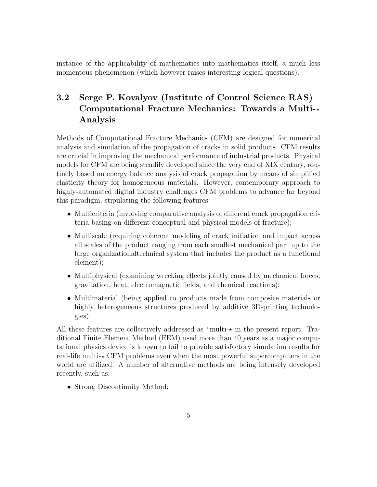instance of the applicability of mathematics into mathematics itself, a much less momentous phenomenon (which however raises interesting logical questions).

## 3.2 Serge P. Kovalyov (Institute of Control Science RAS) Computational Fracture Mechanics: Towards a Multi- $\star$ Analysis

Methods of Computational Fracture Mechanics (CFM) are designed for numerical analysis and simulation of the propagation of cracks in solid products. CFM results are crucial in improving the mechanical performance of industrial products. Physical models for CFM are being steadily developed since the very end of XIX century, routinely based on energy balance analysis of crack propagation by means of simplified elasticity theory for homogeneous materials. However, contemporary approach to highly-automated digital industry challenges CFM problems to advance far beyond this paradigm, stipulating the following features:

- Multicriteria (involving comparative analysis of different crack propagation criteria basing on different conceptual and physical models of fracture);
- Multiscale (requiring coherent modeling of crack initiation and impact across all scales of the product ranging from each smallest mechanical part up to the large organizationaltechnical system that includes the product as a functional element);
- Multiphysical (examining wrecking effects jointly caused by mechanical forces, gravitation, heat, electromagnetic fields, and chemical reactions);
- Multimaterial (being applied to products made from composite materials or highly heterogeneous structures produced by additive 3D-printing technologies).

All these features are collectively addressed as "multi- $\star$  in the present report. Traditional Finite Element Method (FEM) used more than 40 years as a major computational physics device is known to fail to provide satisfactory simulation results for real-life multi- $\star$  CFM problems even when the most powerful supercomputers in the world are utilized. A number of alternative methods are being intensely developed recently, such as:

• Strong Discontinuity Method;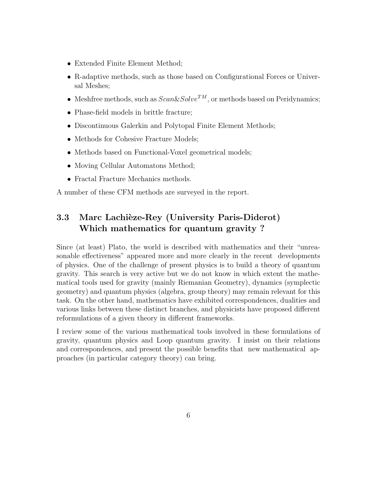- Extended Finite Element Method;
- R-adaptive methods, such as those based on Configurational Forces or Universal Meshes;
- Meshfree methods, such as  $Scan\&Solve^{TM}$ , or methods based on Peridynamics;
- Phase-field models in brittle fracture;
- Discontinuous Galerkin and Polytopal Finite Element Methods;
- Methods for Cohesive Fracture Models;
- Methods based on Functional-Voxel geometrical models;
- Moving Cellular Automatons Method;
- Fractal Fracture Mechanics methods.

A number of these CFM methods are surveyed in the report.

### 3.3 Marc Lachièze-Rey (University Paris-Diderot) Which mathematics for quantum gravity ?

Since (at least) Plato, the world is described with mathematics and their "unreasonable effectiveness" appeared more and more clearly in the recent developments of physics. One of the challenge of present physics is to build a theory of quantum gravity. This search is very active but we do not know in which extent the mathematical tools used for gravity (mainly Riemanian Geometry), dynamics (symplectic geometry) and quantum physics (algebra, group theory) may remain relevant for this task. On the other hand, mathematics have exhibited correspondences, dualities and various links between these distinct branches, and physicists have proposed different reformulations of a given theory in different frameworks.

I review some of the various mathematical tools involved in these formulations of gravity, quantum physics and Loop quantum gravity. I insist on their relations and correspondences, and present the possible benefits that new mathematical approaches (in particular category theory) can bring.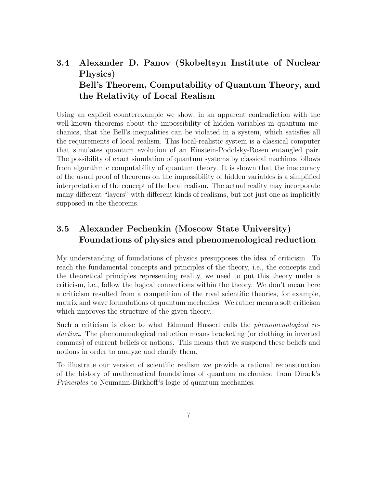## 3.4 Alexander D. Panov (Skobeltsyn Institute of Nuclear Physics) Bell's Theorem, Computability of Quantum Theory, and the Relativity of Local Realism

Using an explicit counterexample we show, in an apparent contradiction with the well-known theorems about the impossibility of hidden variables in quantum mechanics, that the Bell's inequalities can be violated in a system, which satisfies all the requirements of local realism. This local-realistic system is a classical computer that simulates quantum evolution of an Einstein-Podolsky-Rosen entangled pair. The possibility of exact simulation of quantum systems by classical machines follows from algorithmic computability of quantum theory. It is shown that the inaccuracy of the usual proof of theorems on the impossibility of hidden variables is a simplified interpretation of the concept of the local realism. The actual reality may incorporate many different "layers" with different kinds of realisms, but not just one as implicitly supposed in the theorems.

#### 3.5 Alexander Pechenkin (Moscow State University) Foundations of physics and phenomenological reduction

My understanding of foundations of physics presupposes the idea of criticism. To reach the fundamental concepts and principles of the theory, i.e., the concepts and the theoretical principles representing reality, we need to put this theory under a criticism, i.e., follow the logical connections within the theory. We don't mean here a criticism resulted from a competition of the rival scientific theories, for example, matrix and wave formulations of quantum mechanics. We rather mean a soft criticism which improves the structure of the given theory.

Such a criticism is close to what Edmund Husserl calls the phenomenological reduction. The phenomenological reduction means bracketing (or clothing in inverted commas) of current beliefs or notions. This means that we suspend these beliefs and notions in order to analyze and clarify them.

To illustrate our version of scientific realism we provide a rational reconstruction of the history of mathematical foundations of quantum mechanics: from Dirack's Principles to Neumann-Birkhoff's logic of quantum mechanics.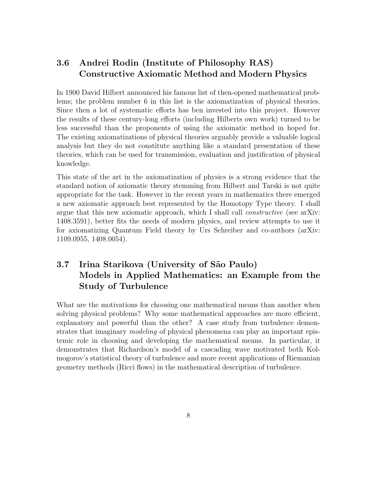#### 3.6 Andrei Rodin (Institute of Philosophy RAS) Constructive Axiomatic Method and Modern Physics

In 1900 David Hilbert announced his famous list of then-opened mathematical problems; the problem number 6 in this list is the axiomatization of physical theories. Since then a lot of systematic efforts has ben invested into this project. However the results of these century-long efforts (including Hilberts own work) turned to be less successful than the proponents of using the axiomatic method in hoped for. The existing axiomatizations of physical theories arguably provide a valuable logical analysis but they do not constitute anything like a standard presentation of these theories, which can be used for transmission, evaluation and justification of physical knowledge.

This state of the art in the axiomatization of physics is a strong evidence that the standard notion of axiomatic theory stemming from Hilbert and Tarski is not quite appropriate for the task. However in the recent years in mathematics there emerged a new axiomatic approach best represented by the Homotopy Type theory. I shall argue that this new axiomatic approach, which I shall call constructive (see arXiv: 1408.3591), better fits the needs of modern physics, and review attempts to use it for axiomatizing Quantum Field theory by Urs Schreiber and co-authors (arXiv: 1109.0955, 1408.0054).

## 3.7 Irina Starikova (University of São Paulo) Models in Applied Mathematics: an Example from the Study of Turbulence

What are the motivations for choosing one mathematical means than another when solving physical problems? Why some mathematical approaches are more efficient, explanatory and powerful than the other? A case study from turbulence demonstrates that imaginary *modeling* of physical phenomena can play an important epistemic role in choosing and developing the mathematical means. In particular, it demonstrates that Richardson's model of a cascading wave motivated both Kolmogorov's statistical theory of turbulence and more recent applications of Riemanian geometry methods (Ricci flows) in the mathematical description of turbulence.